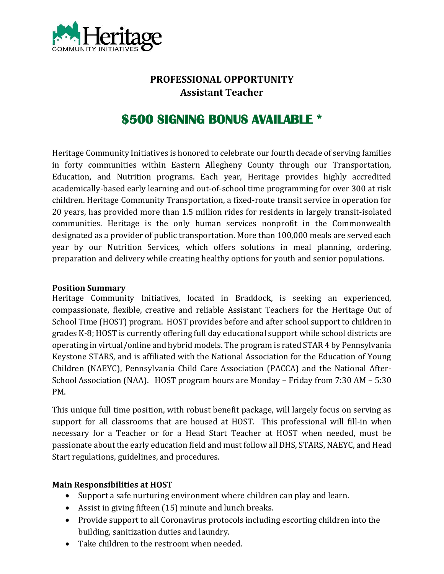

# **PROFESSIONAL OPPORTUNITY Assistant Teacher**

# **\$500 SIGNING BONUS AVAILABLE \***

Heritage Community Initiatives is honored to celebrate our fourth decade of serving families in forty communities within Eastern Allegheny County through our Transportation, Education, and Nutrition programs. Each year, Heritage provides highly accredited academically-based early learning and out-of-school time programming for over 300 at risk children. Heritage Community Transportation, a fixed-route transit service in operation for 20 years, has provided more than 1.5 million rides for residents in largely transit-isolated communities. Heritage is the only human services nonprofit in the Commonwealth designated as a provider of public transportation. More than 100,000 meals are served each year by our Nutrition Services, which offers solutions in meal planning, ordering, preparation and delivery while creating healthy options for youth and senior populations.

#### **Position Summary**

Heritage Community Initiatives, located in Braddock, is seeking an experienced, compassionate, flexible, creative and reliable Assistant Teachers for the Heritage Out of School Time (HOST) program. HOST provides before and after school support to children in grades K-8; HOST is currently offering full day educational support while school districts are operating in virtual/online and hybrid models. The program is rated STAR 4 by Pennsylvania Keystone STARS, and is affiliated with the National Association for the Education of Young Children (NAEYC), Pennsylvania Child Care Association (PACCA) and the National After-School Association (NAA). HOST program hours are Monday – Friday from 7:30 AM – 5:30 PM.

This unique full time position, with robust benefit package, will largely focus on serving as support for all classrooms that are housed at HOST. This professional will fill-in when necessary for a Teacher or for a Head Start Teacher at HOST when needed, must be passionate about the early education field and must follow all DHS, STARS, NAEYC, and Head Start regulations, guidelines, and procedures.

### **Main Responsibilities at HOST**

- Support a safe nurturing environment where children can play and learn.
- Assist in giving fifteen (15) minute and lunch breaks.
- Provide support to all Coronavirus protocols including escorting children into the building, sanitization duties and laundry.
- Take children to the restroom when needed.